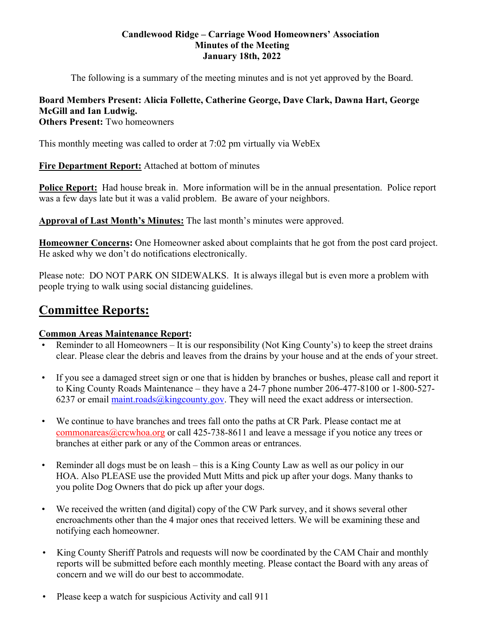#### **Candlewood Ridge – Carriage Wood Homeowners' Association Minutes of the Meeting January 18th, 2022**

The following is a summary of the meeting minutes and is not yet approved by the Board.

# **Board Members Present: Alicia Follette, Catherine George, Dave Clark, Dawna Hart, George McGill and Ian Ludwig.**

**Others Present:** Two homeowners

This monthly meeting was called to order at 7:02 pm virtually via WebEx

**Fire Department Report:** Attached at bottom of minutes

**Police Report:** Had house break in. More information will be in the annual presentation. Police report was a few days late but it was a valid problem. Be aware of your neighbors.

**Approval of Last Month's Minutes:** The last month's minutes were approved.

**Homeowner Concerns:** One Homeowner asked about complaints that he got from the post card project. He asked why we don't do notifications electronically.

Please note: DO NOT PARK ON SIDEWALKS. It is always illegal but is even more a problem with people trying to walk using social distancing guidelines.

# **Committee Reports:**

## **Common Areas Maintenance Report:**

- Reminder to all Homeowners It is our responsibility (Not King County's) to keep the street drains clear. Please clear the debris and leaves from the drains by your house and at the ends of your street.
- If you see a damaged street sign or one that is hidden by branches or bushes, please call and report it to King County Roads Maintenance – they have a 24-7 phone number 206-477-8100 or 1-800-527- 6237 or email maint.roads $@$ kingcounty.gov. They will need the exact address or intersection.
- We continue to have branches and trees fall onto the paths at CR Park. Please contact me at commonareas@crcwhoa.org or call 425-738-8611 and leave a message if you notice any trees or branches at either park or any of the Common areas or entrances.
- Reminder all dogs must be on leash this is a King County Law as well as our policy in our HOA. Also PLEASE use the provided Mutt Mitts and pick up after your dogs. Many thanks to you polite Dog Owners that do pick up after your dogs.
- We received the written (and digital) copy of the CW Park survey, and it shows several other encroachments other than the 4 major ones that received letters. We will be examining these and notifying each homeowner.
- King County Sheriff Patrols and requests will now be coordinated by the CAM Chair and monthly reports will be submitted before each monthly meeting. Please contact the Board with any areas of concern and we will do our best to accommodate.
- Please keep a watch for suspicious Activity and call 911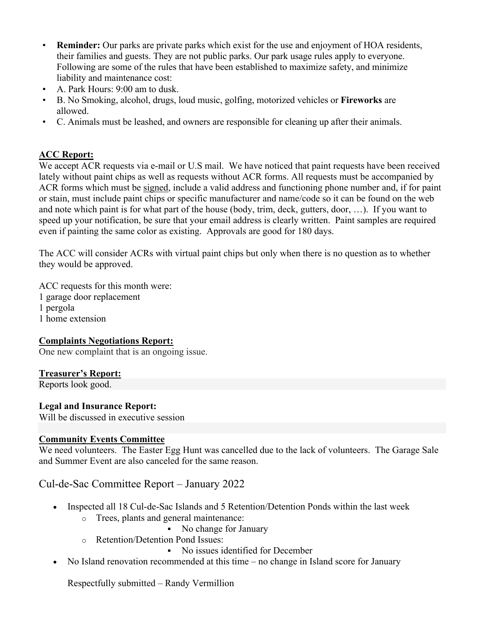- **Reminder:** Our parks are private parks which exist for the use and enjoyment of HOA residents, their families and guests. They are not public parks. Our park usage rules apply to everyone. Following are some of the rules that have been established to maximize safety, and minimize liability and maintenance cost:
- A. Park Hours: 9:00 am to dusk.
- B. No Smoking, alcohol, drugs, loud music, golfing, motorized vehicles or **Fireworks** are allowed.
- C. Animals must be leashed, and owners are responsible for cleaning up after their animals.

## **ACC Report:**

We accept ACR requests via e-mail or U.S mail. We have noticed that paint requests have been received lately without paint chips as well as requests without ACR forms. All requests must be accompanied by ACR forms which must be signed, include a valid address and functioning phone number and, if for paint or stain, must include paint chips or specific manufacturer and name/code so it can be found on the web and note which paint is for what part of the house (body, trim, deck, gutters, door, …). If you want to speed up your notification, be sure that your email address is clearly written. Paint samples are required even if painting the same color as existing. Approvals are good for 180 days.

The ACC will consider ACRs with virtual paint chips but only when there is no question as to whether they would be approved.

ACC requests for this month were: 1 garage door replacement 1 pergola 1 home extension

## **Complaints Negotiations Report:**

One new complaint that is an ongoing issue.

## **Treasurer's Report:**

Reports look good.

## **Legal and Insurance Report:**

Will be discussed in executive session

#### **Community Events Committee**

We need volunteers. The Easter Egg Hunt was cancelled due to the lack of volunteers. The Garage Sale and Summer Event are also canceled for the same reason.

Cul-de-Sac Committee Report – January 2022

- Inspected all 18 Cul-de-Sac Islands and 5 Retention/Detention Ponds within the last week
	- o Trees, plants and general maintenance:
		- No change for January
	- o Retention/Detention Pond Issues:
		- No issues identified for December
- No Island renovation recommended at this time no change in Island score for January

Respectfully submitted – Randy Vermillion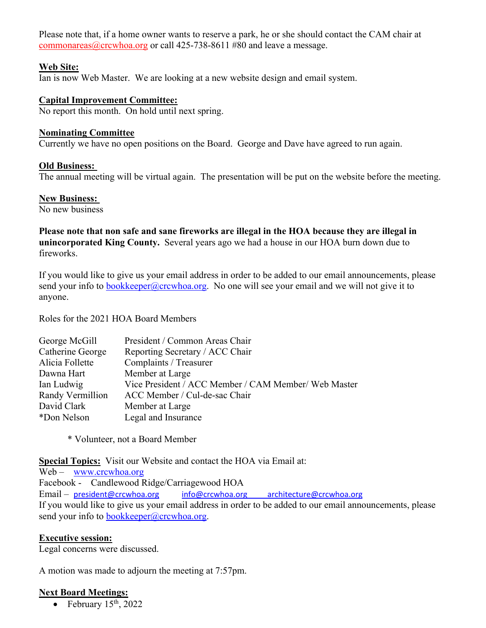Please note that, if a home owner wants to reserve a park, he or she should contact the CAM chair at commonareas@crcwhoa.org or call 425-738-8611 #80 and leave a message.

#### **Web Site:**

Ian is now Web Master. We are looking at a new website design and email system.

#### **Capital Improvement Committee:**

No report this month. On hold until next spring.

#### **Nominating Committee**

Currently we have no open positions on the Board. George and Dave have agreed to run again.

#### **Old Business:**

The annual meeting will be virtual again. The presentation will be put on the website before the meeting.

#### **New Business:**

No new business

**Please note that non safe and sane fireworks are illegal in the HOA because they are illegal in unincorporated King County.** Several years ago we had a house in our HOA burn down due to fireworks.

If you would like to give us your email address in order to be added to our email announcements, please send your info to bookkeeper@crcwhoa.org. No one will see your email and we will not give it to anyone.

Roles for the 2021 HOA Board Members

| George McGill    | President / Common Areas Chair                       |
|------------------|------------------------------------------------------|
| Catherine George | Reporting Secretary / ACC Chair                      |
| Alicia Follette  | Complaints / Treasurer                               |
| Dawna Hart       | Member at Large                                      |
| Ian Ludwig       | Vice President / ACC Member / CAM Member/ Web Master |
| Randy Vermillion | ACC Member / Cul-de-sac Chair                        |
| David Clark      | Member at Large                                      |
| *Don Nelson      | Legal and Insurance                                  |

\* Volunteer, not a Board Member

**Special Topics:** Visit our Website and contact the HOA via Email at:

Web – www.crcwhoa.org Facebook - Candlewood Ridge/Carriagewood HOA Email – president@crcwhoa.org info@crcwhoa.org architecture@crcwhoa.org If you would like to give us your email address in order to be added to our email announcements, please send your info to bookkeeper@crcwhoa.org.

#### **Executive session:**

Legal concerns were discussed.

A motion was made to adjourn the meeting at 7:57pm.

#### **Next Board Meetings:**

• February  $15<sup>th</sup>$ , 2022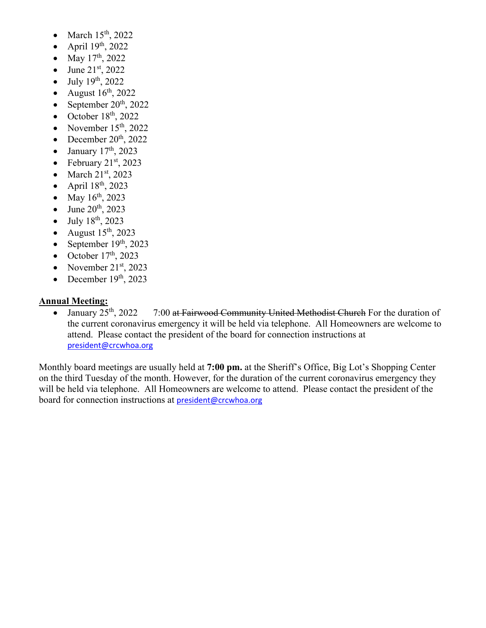- March  $15<sup>th</sup>$ , 2022
- April  $19<sup>th</sup>$ , 2022
- May 17<sup>th</sup>, 2022
- $\bullet$  June 21st, 2022
- $\bullet$  July 19<sup>th</sup>, 2022
- August  $16^{th}$ , 2022
- September  $20<sup>th</sup>$ , 2022
- $\bullet$  October 18<sup>th</sup>, 2022
- November  $15<sup>th</sup>$ , 2022
- December  $20<sup>th</sup>$ , 2022
- January 17<sup>th</sup>, 2023
- February  $21<sup>st</sup>$ , 2023
- March  $21<sup>st</sup>$ , 2023
- April  $18^{th}$ , 2023
- May  $16^{th}$ , 2023
- June 20<sup>th</sup>, 2023
- $\bullet$  July 18<sup>th</sup>, 2023
- August  $15<sup>th</sup>$ , 2023
- September  $19<sup>th</sup>$ , 2023
- October  $17<sup>th</sup>$ , 2023
- November  $21<sup>st</sup>$ , 2023
- December  $19<sup>th</sup>$ , 2023

## **Annual Meeting:**

• January  $25<sup>th</sup>$ ,  $2022$  7:00 at Fairwood Community United Methodist Church For the duration of the current coronavirus emergency it will be held via telephone. All Homeowners are welcome to attend. Please contact the president of the board for connection instructions at president@crcwhoa.org

Monthly board meetings are usually held at **7:00 pm.** at the Sheriff's Office, Big Lot's Shopping Center on the third Tuesday of the month. However, for the duration of the current coronavirus emergency they will be held via telephone. All Homeowners are welcome to attend. Please contact the president of the board for connection instructions at president@crcwhoa.org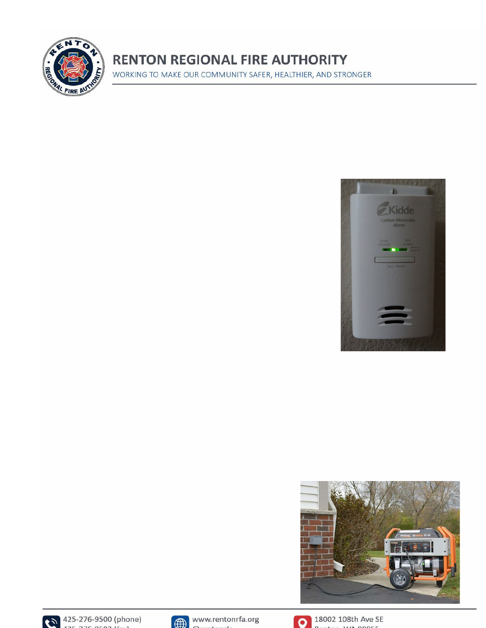

# **RENTON REGIONAL FIRE AUTHORITY**

WORKING TO MAKE OUR COMMUNITY SAFER, HEALTHIER, AND STRONGER











www.rentonrfa.org



18002 108th Ave SE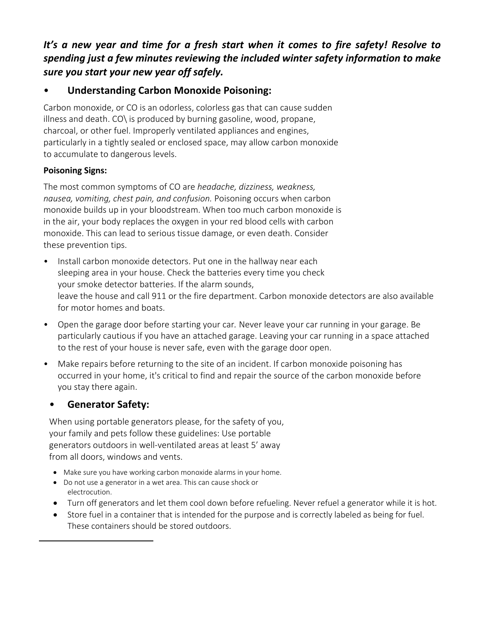# *It's a new year and time for a fresh start when it comes to fire safety! Resolve to spending just a few minutes reviewing the included winter safety information to make sure you start your new year off safely.*

# • **Understanding Carbon Monoxide Poisoning:**

Carbon monoxide, or CO is an odorless, colorless gas that can cause sudden illness and death. CO\ is produced by burning gasoline, wood, propane, charcoal, or other fuel. Improperly ventilated appliances and engines, particularly in a tightly sealed or enclosed space, may allow carbon monoxide to accumulate to dangerous levels.

## **Poisoning Signs:**

The most common symptoms of CO are *headache, dizziness, weakness, nausea, vomiting, chest pain, and confusion.* Poisoning occurs when carbon monoxide builds up in your bloodstream. When too much carbon monoxide is in the air, your body replaces the oxygen in your red blood cells with carbon monoxide. This can lead to serious tissue damage, or even death. Consider these prevention tips.

- Install carbon monoxide detectors. Put one in the hallway near each sleeping area in your house. Check the batteries every time you check your smoke detector batteries. If the alarm sounds, leave the house and call 911 or the fire department. Carbon monoxide detectors are also available for motor homes and boats.
- Open the garage door before starting your car*.* Never leave your car running in your garage. Be particularly cautious if you have an attached garage. Leaving your car running in a space attached to the rest of your house is never safe, even with the garage door open.
- Make repairs before returning to the site of an incident. If carbon monoxide poisoning has occurred in your home, it's critical to find and repair the source of the carbon monoxide before you stay there again.

# • **Generator Safety:**

When using portable generators please, for the safety of you, your family and pets follow these guidelines: Use portable generators outdoors in well‐ventilated areas at least 5' away from all doors, windows and vents.

- Make sure you have working carbon monoxide alarms in your home.
- Do not use a generator in a wet area. This can cause shock or electrocution.
- Turn off generators and let them cool down before refueling. Never refuel a generator while it is hot.
- Store fuel in a container that is intended for the purpose and is correctly labeled as being for fuel. These containers should be stored outdoors.